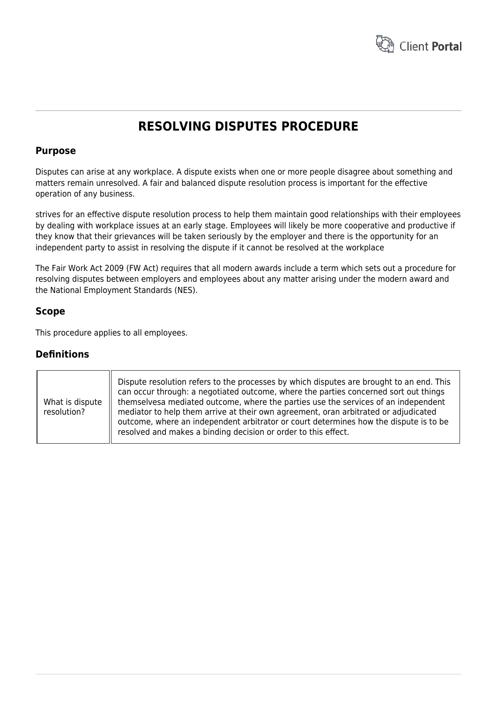

# **RESOLVING DISPUTES PROCEDURE**

# **Purpose**

Disputes can arise at any workplace. A dispute exists when one or more people disagree about something and matters remain unresolved. A fair and balanced dispute resolution process is important for the effective operation of any business.

strives for an effective dispute resolution process to help them maintain good relationships with their employees by dealing with workplace issues at an early stage. Employees will likely be more cooperative and productive if they know that their grievances will be taken seriously by the employer and there is the opportunity for an independent party to assist in resolving the dispute if it cannot be resolved at the workplace

The Fair Work Act 2009 (FW Act) requires that all modern awards include a term which sets out a procedure for resolving disputes between employers and employees about any matter arising under the modern award and the National Employment Standards (NES).

# **Scope**

This procedure applies to all employees.

# **Definitions**

| What is dispute<br>resolution? | Dispute resolution refers to the processes by which disputes are brought to an end. This<br>can occur through: a negotiated outcome, where the parties concerned sort out things<br>themselvesa mediated outcome, where the parties use the services of an independent<br>mediator to help them arrive at their own agreement, oran arbitrated or adjudicated<br>outcome, where an independent arbitrator or court determines how the dispute is to be<br>resolved and makes a binding decision or order to this effect. |
|--------------------------------|--------------------------------------------------------------------------------------------------------------------------------------------------------------------------------------------------------------------------------------------------------------------------------------------------------------------------------------------------------------------------------------------------------------------------------------------------------------------------------------------------------------------------|
|--------------------------------|--------------------------------------------------------------------------------------------------------------------------------------------------------------------------------------------------------------------------------------------------------------------------------------------------------------------------------------------------------------------------------------------------------------------------------------------------------------------------------------------------------------------------|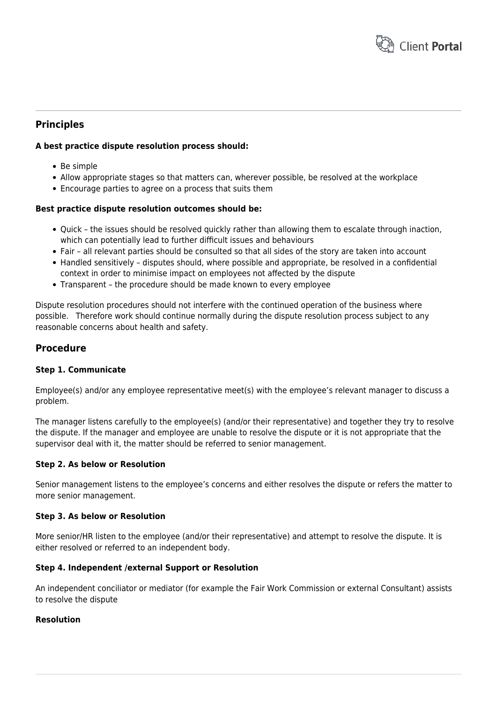

# **Principles**

## **A best practice dispute resolution process should:**

- Be simple
- Allow appropriate stages so that matters can, wherever possible, be resolved at the workplace
- Encourage parties to agree on a process that suits them

### **Best practice dispute resolution outcomes should be:**

- Ouick the issues should be resolved quickly rather than allowing them to escalate through inaction, which can potentially lead to further difficult issues and behaviours
- Fair all relevant parties should be consulted so that all sides of the story are taken into account
- Handled sensitively disputes should, where possible and appropriate, be resolved in a confidential context in order to minimise impact on employees not affected by the dispute
- Transparent the procedure should be made known to every employee

Dispute resolution procedures should not interfere with the continued operation of the business where possible. Therefore work should continue normally during the dispute resolution process subject to any reasonable concerns about health and safety.

# **Procedure**

### **Step 1. Communicate**

Employee(s) and/or any employee representative meet(s) with the employee's relevant manager to discuss a problem.

The manager listens carefully to the employee(s) (and/or their representative) and together they try to resolve the dispute. If the manager and employee are unable to resolve the dispute or it is not appropriate that the supervisor deal with it, the matter should be referred to senior management.

### **Step 2. As below or Resolution**

Senior management listens to the employee's concerns and either resolves the dispute or refers the matter to more senior management.

### **Step 3. As below or Resolution**

More senior/HR listen to the employee (and/or their representative) and attempt to resolve the dispute. It is either resolved or referred to an independent body.

### **Step 4. Independent /external Support or Resolution**

An independent conciliator or mediator (for example the Fair Work Commission or external Consultant) assists to resolve the dispute

#### **Resolution**